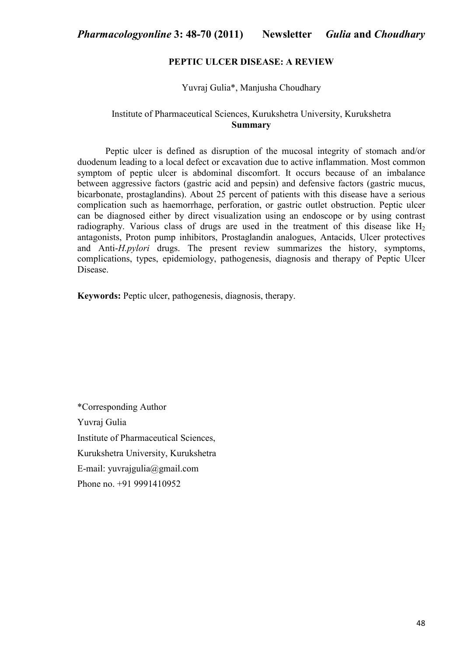## **PEPTIC ULCER DISEASE: A REVIEW**

#### Yuvraj Gulia\*, Manjusha Choudhary

# Institute of Pharmaceutical Sciences, Kurukshetra University, Kurukshetra **Summary**

Peptic ulcer is defined as disruption of the mucosal integrity of stomach and/or duodenum leading to a local defect or excavation due to active inflammation. Most common symptom of peptic ulcer is abdominal discomfort. It occurs because of an imbalance between aggressive factors (gastric acid and pepsin) and defensive factors (gastric mucus, bicarbonate, prostaglandins). About 25 percent of patients with this disease have a serious complication such as haemorrhage, perforation, or gastric outlet obstruction. Peptic ulcer can be diagnosed either by direct visualization using an endoscope or by using contrast radiography. Various class of drugs are used in the treatment of this disease like  $H_2$ antagonists, Proton pump inhibitors, Prostaglandin analogues, Antacids, Ulcer protectives and Anti-*H.pylori* drugs. The present review summarizes the history, symptoms, complications, types, epidemiology, pathogenesis, diagnosis and therapy of Peptic Ulcer Disease.

**Keywords:** Peptic ulcer, pathogenesis, diagnosis, therapy.

\*Corresponding Author Yuvraj Gulia Institute of Pharmaceutical Sciences, Kurukshetra University, Kurukshetra E-mail: yuvrajgulia@gmail.com Phone no. +91 9991410952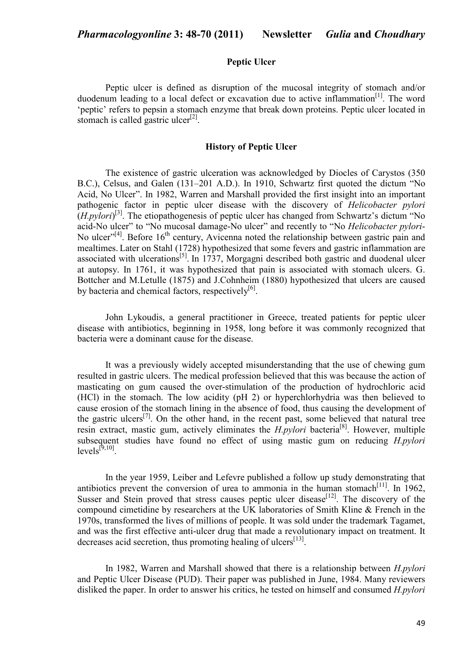# **Peptic Ulcer**

 Peptic ulcer is defined as disruption of the mucosal integrity of stomach and/or duodenum leading to a local defect or excavation due to active inflammation $[1]$ . The word 'peptic' refers to pepsin a stomach enzyme that break down proteins. Peptic ulcer located in stomach is called gastric ulcer $^{[2]}$ .

#### **History of Peptic Ulcer**

 The existence of gastric ulceration was acknowledged by Diocles of Carystos (350 B.C.), Celsus, and Galen (131–201 A.D.). In 1910, Schwartz first quoted the dictum "No Acid, No Ulcer". In 1982, Warren and Marshall provided the first insight into an important pathogenic factor in peptic ulcer disease with the discovery of *Helicobacter pylori* (*H.pylori*) [3]. The etiopathogenesis of peptic ulcer has changed from Schwartz's dictum "No acid-No ulcer" to "No mucosal damage-No ulcer" and recently to "No *Helicobacter pylori*-No ulcer<sup> $n[4]$ </sup>. Before 16<sup>th</sup> century, Avicenna noted the relationship between gastric pain and mealtimes. Later on Stahl (1728) hypothesized that some fevers and gastric inflammation are associated with ulcerations<sup>[5]</sup>. In 1737, Morgagni described both gastric and duodenal ulcer at autopsy. In 1761, it was hypothesized that pain is associated with stomach ulcers. G. Bottcher and M.Letulle (1875) and J.Cohnheim (1880) hypothesized that ulcers are caused by bacteria and chemical factors, respectively<sup>[6]</sup>.

John Lykoudis, a general practitioner in Greece, treated patients for peptic ulcer disease with antibiotics, beginning in 1958, long before it was commonly recognized that bacteria were a dominant cause for the disease.

 It was a previously widely accepted misunderstanding that the use of chewing gum resulted in gastric ulcers. The medical profession believed that this was because the action of masticating on gum caused the over-stimulation of the production of hydrochloric acid (HCl) in the stomach. The low acidity (pH 2) or hyperchlorhydria was then believed to cause erosion of the stomach lining in the absence of food, thus causing the development of the gastric ulcers<sup>[7]</sup>. On the other hand, in the recent past, some believed that natural tree resin extract, mastic gum, actively eliminates the *H.pylori* bacteria[8]. However, multiple subsequent studies have found no effect of using mastic gum on reducing *H.pylori*  $levels^{[9,10]}$ .

 In the year 1959, Leiber and Lefevre published a follow up study demonstrating that antibiotics prevent the conversion of urea to ammonia in the human stomach<sup>[11]</sup>. In 1962, Susser and Stein proved that stress causes peptic ulcer disease<sup>[12]</sup>. The discovery of the compound cimetidine by researchers at the UK laboratories of Smith Kline & French in the 1970s, transformed the lives of millions of people. It was sold under the trademark Tagamet, and was the first effective anti-ulcer drug that made a revolutionary impact on treatment. It decreases acid secretion, thus promoting healing of ulcers<sup>[13]</sup>.

 In 1982, Warren and Marshall showed that there is a relationship between *H.pylori*  and Peptic Ulcer Disease (PUD). Their paper was published in June, 1984. Many reviewers disliked the paper. In order to answer his critics, he tested on himself and consumed *H.pylori*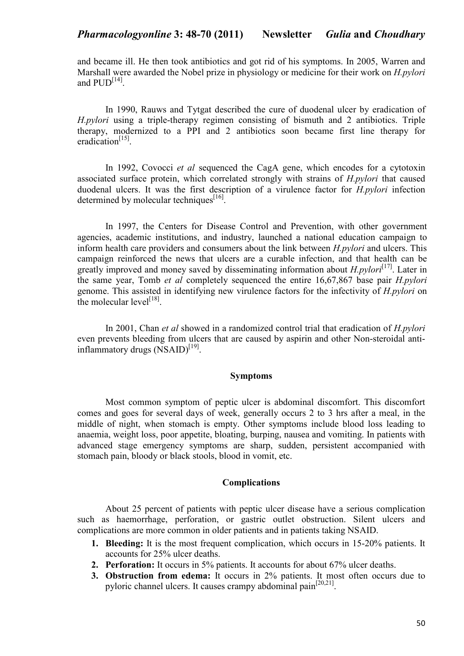and became ill. He then took antibiotics and got rid of his symptoms. In 2005, Warren and Marshall were awarded the Nobel prize in physiology or medicine for their work on *H.pylori* and  $\text{PUD}^{[14]}$ .

 In 1990, Rauws and Tytgat described the cure of duodenal ulcer by eradication of *H.pylori* using a triple-therapy regimen consisting of bismuth and 2 antibiotics. Triple therapy, modernized to a PPI and 2 antibiotics soon became first line therapy for eradication<sup>[15]</sup>.

 In 1992, Covocci *et al* sequenced the CagA gene, which encodes for a cytotoxin associated surface protein, which correlated strongly with strains of *H.pylori* that caused duodenal ulcers. It was the first description of a virulence factor for *H.pylori* infection determined by molecular techniques<sup>[16]</sup>.

 In 1997, the Centers for Disease Control and Prevention, with other government agencies, academic institutions, and industry, launched a national education campaign to inform health care providers and consumers about the link between *H.pylori* and ulcers. This campaign reinforced the news that ulcers are a curable infection, and that health can be greatly improved and money saved by disseminating information about *H.pylori*<sup>[17]</sup>. Later in the same year, Tomb *et al* completely sequenced the entire 16,67,867 base pair *H.pylori* genome. This assisted in identifying new virulence factors for the infectivity of *H.pylori* on the molecular  $level^{[18]}$ .

In 2001, Chan *et al* showed in a randomized control trial that eradication of *H.pylori* even prevents bleeding from ulcers that are caused by aspirin and other Non-steroidal antiinflammatory drugs (NSAID)<sup>[19]</sup>.

### **Symptoms**

 Most common symptom of peptic ulcer is abdominal discomfort. This discomfort comes and goes for several days of week, generally occurs 2 to 3 hrs after a meal, in the middle of night, when stomach is empty. Other symptoms include blood loss leading to anaemia, weight loss, poor appetite, bloating, burping, nausea and vomiting. In patients with advanced stage emergency symptoms are sharp, sudden, persistent accompanied with stomach pain, bloody or black stools, blood in vomit, etc.

## **Complications**

About 25 percent of patients with peptic ulcer disease have a serious complication such as haemorrhage, perforation, or gastric outlet obstruction. Silent ulcers and complications are more common in older patients and in patients taking NSAID.

- **1. Bleeding:** It is the most frequent complication, which occurs in 15-20% patients. It accounts for 25% ulcer deaths.
- **2. Perforation:** It occurs in 5% patients. It accounts for about 67% ulcer deaths.
- **3. Obstruction from edema:** It occurs in 2% patients. It most often occurs due to pyloric channel ulcers. It causes crampy abdominal pain<sup>[20,21]</sup>.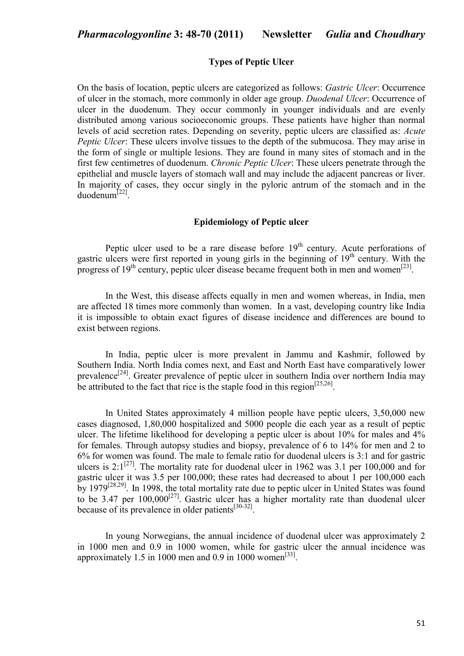### **Types of Peptic Ulcer**

On the basis of location, peptic ulcers are categorized as follows: *Gastric Ulcer*: Occurrence of ulcer in the stomach, more commonly in older age group. *Duodenal Ulcer*: Occurrence of ulcer in the duodenum. They occur commonly in younger individuals and are evenly distributed among various socioeconomic groups. These patients have higher than normal levels of acid secretion rates. Depending on severity, peptic ulcers are classified as: *Acute Peptic Ulcer*: These ulcers involve tissues to the depth of the submucosa. They may arise in the form of single or multiple lesions. They are found in many sites of stomach and in the first few centimetres of duodenum. *Chronic Peptic Ulcer*: These ulcers penetrate through the epithelial and muscle layers of stomach wall and may include the adjacent pancreas or liver. In majority of cases, they occur singly in the pyloric antrum of the stomach and in the duodenum[22] .

### **Epidemiology of Peptic ulcer**

Peptic ulcer used to be a rare disease before  $19<sup>th</sup>$  century. Acute perforations of gastric ulcers were first reported in young girls in the beginning of 19<sup>th</sup> century. With the progress of  $19<sup>th</sup>$  century, peptic ulcer disease became frequent both in men and women<sup>[23]</sup>.

In the West, this disease affects equally in men and women whereas, in India, men are affected 18 times more commonly than women. In a vast, developing country like India it is impossible to obtain exact figures of disease incidence and differences are bound to exist between regions.

 In India, peptic ulcer is more prevalent in Jammu and Kashmir, followed by Southern India. North India comes next, and East and North East have comparatively lower prevalence<sup>[24]</sup>. Greater prevalence of peptic ulcer in southern India over northern India may be attributed to the fact that rice is the staple food in this region<sup>[25,26]</sup>.

In United States approximately 4 million people have peptic ulcers, 3,50,000 new cases diagnosed, 1,80,000 hospitalized and 5000 people die each year as a result of peptic ulcer. The lifetime likelihood for developing a peptic ulcer is about 10% for males and 4% for females. Through autopsy studies and biopsy, prevalence of 6 to 14% for men and 2 to 6% for women was found. The male to female ratio for duodenal ulcers is 3:1 and for gastric ulcers is  $2:1^{[27]}$ . The mortality rate for duodenal ulcer in 1962 was 3.1 per 100,000 and for gastric ulcer it was 3.5 per 100,000; these rates had decreased to about 1 per 100,000 each by 1979<sup>[28,29]</sup>. In 1998, the total mortality rate due to peptic ulcer in United States was found to be 3.47 per  $100,000^{[27]}$ . Gastric ulcer has a higher mortality rate than duodenal ulcer because of its prevalence in older patients $[30-32]$ .

 In young Norwegians, the annual incidence of duodenal ulcer was approximately 2 in 1000 men and 0.9 in 1000 women, while for gastric ulcer the annual incidence was approximately 1.5 in 1000 men and 0.9 in 1000 women<sup>[33]</sup>.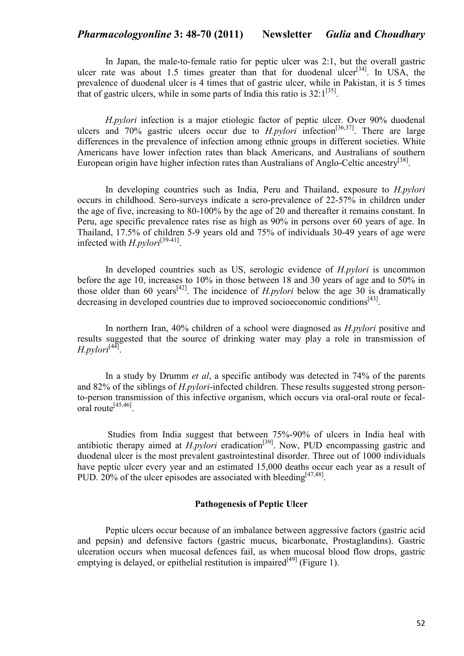In Japan, the male-to-female ratio for peptic ulcer was 2:1, but the overall gastric ulcer rate was about 1.5 times greater than that for duodenal ulcer $|^{34}$ . In USA, the prevalence of duodenal ulcer is 4 times that of gastric ulcer, while in Pakistan, it is 5 times that of gastric ulcers, while in some parts of India this ratio is  $32:1^{[35]}$ .

*H.pylori* infection is a major etiologic factor of peptic ulcer. Over 90% duodenal ulcers and  $70\%$  gastric ulcers occur due to  $H.pylori$  infection<sup>[36,37]</sup>. There are large differences in the prevalence of infection among ethnic groups in different societies. White Americans have lower infection rates than black Americans, and Australians of southern European origin have higher infection rates than Australians of Anglo-Celtic ancestry<sup>[38]</sup>.

 In developing countries such as India, Peru and Thailand, exposure to *H.pylori* occurs in childhood. Sero-surveys indicate a sero-prevalence of 22-57% in children under the age of five, increasing to 80-100% by the age of 20 and thereafter it remains constant. In Peru, age specific prevalence rates rise as high as 90% in persons over 60 years of age. In Thailand, 17.5% of children 5-9 years old and 75% of individuals 30-49 years of age were infected with *H.pylori*[39-41] .

 In developed countries such as US, serologic evidence of *H.pylori* is uncommon before the age 10, increases to 10% in those between 18 and 30 years of age and to 50% in those older than 60 years<sup>[42]</sup>. The incidence of *H.pylori* below the age 30 is dramatically decreasing in developed countries due to improved socioeconomic conditions<sup>[43]</sup>.

 In northern Iran, 40% children of a school were diagnosed as *H.pylori* positive and results suggested that the source of drinking water may play a role in transmission of *H.pylori*[44] .

 In a study by Drumm *et al*, a specific antibody was detected in 74% of the parents and 82% of the siblings of *H.pylori*-infected children. These results suggested strong personto-person transmission of this infective organism, which occurs via oral-oral route or fecaloral route[45,46] .

 Studies from India suggest that between 75%-90% of ulcers in India heal with antibiotic therapy aimed at *H.pylori* eradication<sup>[39]</sup>. Now, PUD encompassing gastric and duodenal ulcer is the most prevalent gastrointestinal disorder. Three out of 1000 individuals have peptic ulcer every year and an estimated 15,000 deaths occur each year as a result of PUD. 20% of the ulcer episodes are associated with bleeding  $[47,48]$ .

## **Pathogenesis of Peptic Ulcer**

Peptic ulcers occur because of an imbalance between aggressive factors (gastric acid and pepsin) and defensive factors (gastric mucus, bicarbonate, Prostaglandins). Gastric ulceration occurs when mucosal defences fail, as when mucosal blood flow drops, gastric emptying is delayed, or epithelial restitution is impaired<sup>[49]</sup> (Figure 1).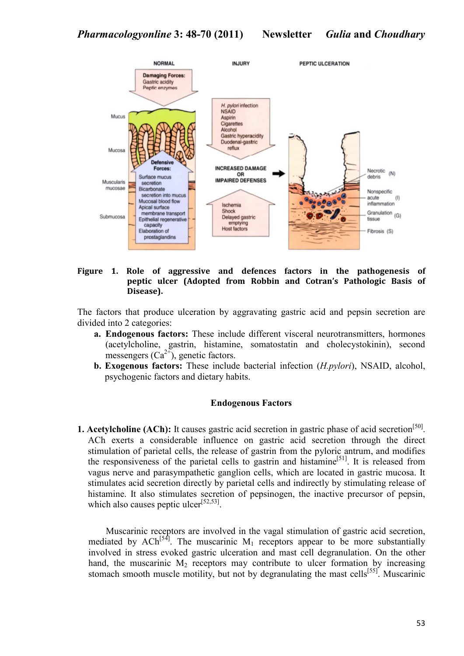

## **Figure 1. Role of aggressive and defences factors in the pathogenesis of peptic ulcer (Adopted from Robbin and Cotran's Pathologic Basis of Disease).**

The factors that produce ulceration by aggravating gastric acid and pepsin secretion are divided into 2 categories:

- **a. Endogenous factors:** These include different visceral neurotransmitters, hormones (acetylcholine, gastrin, histamine, somatostatin and cholecystokinin), second messengers  $(Ca^{2+})$ , genetic factors.
- **b. Exogenous factors:** These include bacterial infection (*H.pylori*), NSAID, alcohol, psychogenic factors and dietary habits.

### **Endogenous Factors**

**1. Acetylcholine (ACh):** It causes gastric acid secretion in gastric phase of acid secretion<sup>[50]</sup>. ACh exerts a considerable influence on gastric acid secretion through the direct stimulation of parietal cells, the release of gastrin from the pyloric antrum, and modifies the responsiveness of the parietal cells to gastrin and histamine<sup>[51]</sup>. It is released from vagus nerve and parasympathetic ganglion cells, which are located in gastric mucosa. It stimulates acid secretion directly by parietal cells and indirectly by stimulating release of histamine. It also stimulates secretion of pepsinogen, the inactive precursor of pepsin, which also causes peptic ulcer<sup>[52,53]</sup>.

Muscarinic receptors are involved in the vagal stimulation of gastric acid secretion, mediated by  $ACh^{[54]}$ . The muscarinic M<sub>1</sub> receptors appear to be more substantially involved in stress evoked gastric ulceration and mast cell degranulation. On the other hand, the muscarinic  $M_2$  receptors may contribute to ulcer formation by increasing stomach smooth muscle motility, but not by degranulating the mast cells<sup>[55]</sup>. Muscarinic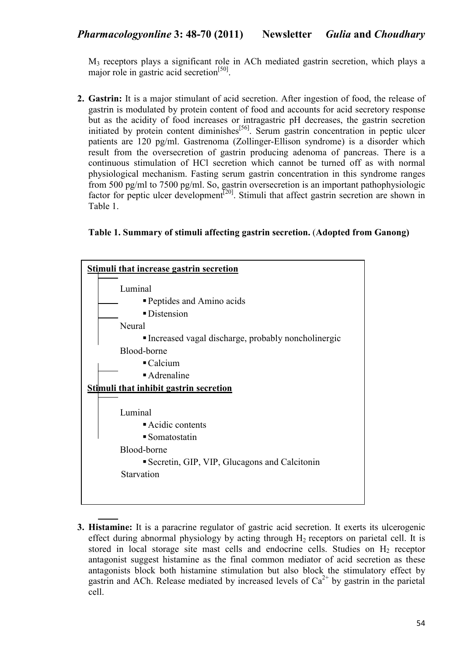M3 receptors plays a significant role in ACh mediated gastrin secretion, which plays a major role in gastric acid secretion<sup>[50]</sup>.

**2. Gastrin:** It is a major stimulant of acid secretion. After ingestion of food, the release of gastrin is modulated by protein content of food and accounts for acid secretory response but as the acidity of food increases or intragastric pH decreases, the gastrin secretion initiated by protein content diminishes $<sup>[56]</sup>$ . Serum gastrin concentration in peptic ulcer</sup> patients are 120 pg/ml. Gastrenoma (Zollinger-Ellison syndrome) is a disorder which result from the oversecretion of gastrin producing adenoma of pancreas. There is a continuous stimulation of HCl secretion which cannot be turned off as with normal physiological mechanism. Fasting serum gastrin concentration in this syndrome ranges from 500 pg/ml to 7500 pg/ml. So, gastrin oversecretion is an important pathophysiologic factor for peptic ulcer development<sup>[20]</sup>. Stimuli that affect gastrin secretion are shown in Table 1.

**Table 1. Summary of stimuli affecting gastrin secretion.** (**Adopted from Ganong)**



**3. Histamine:** It is a paracrine regulator of gastric acid secretion. It exerts its ulcerogenic effect during abnormal physiology by acting through  $H_2$  receptors on parietal cell. It is stored in local storage site mast cells and endocrine cells. Studies on  $H<sub>2</sub>$  receptor antagonist suggest histamine as the final common mediator of acid secretion as these antagonists block both histamine stimulation but also block the stimulatory effect by gastrin and ACh. Release mediated by increased levels of  $Ca^{2+}$  by gastrin in the parietal cell.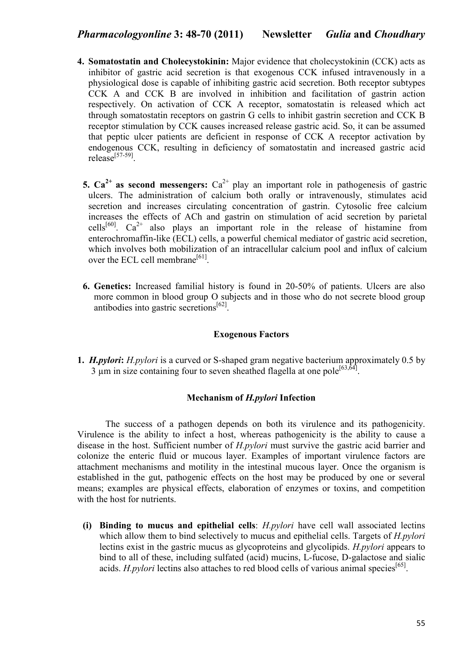- **4. Somatostatin and Cholecystokinin:** Major evidence that cholecystokinin (CCK) acts as inhibitor of gastric acid secretion is that exogenous CCK infused intravenously in a physiological dose is capable of inhibiting gastric acid secretion. Both receptor subtypes CCK A and CCK B are involved in inhibition and facilitation of gastrin action respectively. On activation of CCK A receptor, somatostatin is released which act through somatostatin receptors on gastrin G cells to inhibit gastrin secretion and CCK B receptor stimulation by CCK causes increased release gastric acid. So, it can be assumed that peptic ulcer patients are deficient in response of CCK A receptor activation by endogenous CCK, resulting in deficiency of somatostatin and increased gastric acid  $release<sup>[57-59]</sup>$ .
	- **5.**  $Ca^{2+}$  **as second messengers:**  $Ca^{2+}$  play an important role in pathogenesis of gastric ulcers. The administration of calcium both orally or intravenously, stimulates acid secretion and increases circulating concentration of gastrin. Cytosolic free calcium increases the effects of ACh and gastrin on stimulation of acid secretion by parietal cells<sup>[60]</sup>.  $Ca^{2+}$  also plays an important role in the release of histamine from enterochromaffin-like (ECL) cells, a powerful chemical mediator of gastric acid secretion, which involves both mobilization of an intracellular calcium pool and influx of calcium over the ECL cell membrane<sup>[61]</sup>.
	- **6. Genetics:** Increased familial history is found in 20-50% of patients. Ulcers are also more common in blood group O subjects and in those who do not secrete blood group antibodies into gastric secretions<sup>[62]</sup>.

# **Exogenous Factors**

**1.** *H.pylori***:** *H.pylori* is a curved or S-shaped gram negative bacterium approximately 0.5 by  $3 \mu$ m in size containing four to seven sheathed flagella at one pole<sup>[63,64]</sup>.

# **Mechanism of** *H.pylori* **Infection**

The success of a pathogen depends on both its virulence and its pathogenicity. Virulence is the ability to infect a host, whereas pathogenicity is the ability to cause a disease in the host. Sufficient number of *H.pylori* must survive the gastric acid barrier and colonize the enteric fluid or mucous layer. Examples of important virulence factors are attachment mechanisms and motility in the intestinal mucous layer. Once the organism is established in the gut, pathogenic effects on the host may be produced by one or several means; examples are physical effects, elaboration of enzymes or toxins, and competition with the host for nutrients.

**(i) Binding to mucus and epithelial cells**: *H.pylori* have cell wall associated lectins which allow them to bind selectively to mucus and epithelial cells. Targets of *H.pylori*  lectins exist in the gastric mucus as glycoproteins and glycolipids. *H.pylori* appears to bind to all of these, including sulfated (acid) mucins, L-fucose, D-galactose and sialic acids. *H.pylori* lectins also attaches to red blood cells of various animal species<sup>[65]</sup>.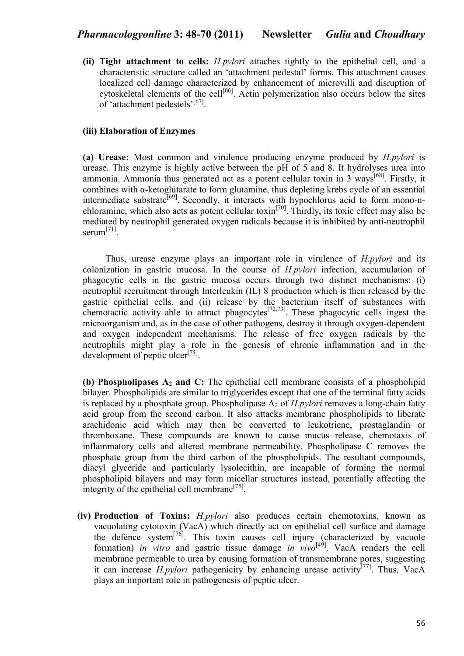**(ii) Tight attachment to cells:** *H.pylori* attaches tightly to the epithelial cell, and a characteristic structure called an 'attachment pedestal' forms. This attachment causes localized cell damage characterized by enhancement of microvilli and disruption of cytoskeletal elements of the cell<sup>[66]</sup>. Actin polymerization also occurs below the sites of 'attachment pedestels'<sup>[67]</sup>.

## **(iii) Elaboration of Enzymes**

**(a) Urease:** Most common and virulence producing enzyme produced by *H.pylori* is urease. This enzyme is highly active between the pH of 5 and 8. It hydrolyses urea into ammonia. Ammonia thus generated act as a potent cellular toxin in 3 ways<sup>[68]</sup>. Firstly, it combines with α-ketoglutarate to form glutamine, thus depleting krebs cycle of an essential intermediate substrate<sup>[69]</sup>. Secondly, it interacts with hypochlorus acid to form mono-nchloramine, which also acts as potent cellular toxin<sup>[70]</sup>. Thirdly, its toxic effect may also be mediated by neutrophil generated oxygen radicals because it is inhibited by anti-neutrophil serum<sup>[71]</sup>.

 Thus, urease enzyme plays an important role in virulence of *H.pylori* and its colonization in gastric mucosa. In the course of *H.pylori* infection, accumulation of phagocytic cells in the gastric mucosa occurs through two distinct mechanisms: (i) neutrophil recruitment through Interleukin (IL) 8 production which is then released by the gastric epithelial cells, and (ii) release by the bacterium itself of substances with chemotactic activity able to attract phagocytes<sup>[72,73]</sup>. These phagocytic cells ingest the microorganism and, as in the case of other pathogens, destroy it through oxygen-dependent and oxygen independent mechanisms. The release of free oxygen radicals by the neutrophils might play a role in the genesis of chronic inflammation and in the development of peptic ulcer $^{[74]}$ .

**(b) Phospholipases A2 and C:** The epithelial cell membrane consists of a phospholipid bilayer. Phospholipids are similar to triglycerides except that one of the terminal fatty acids is replaced by a phosphate group. Phospholipase A<sub>2</sub> of *H.pylori* removes a long-chain fatty acid group from the second carbon. It also attacks membrane phospholipids to liberate arachidonic acid which may then be converted to leukotriene, prostaglandin or thromboxane. These compounds are known to cause mucus release, chemotaxis of inflammatory cells and altered membrane permeability. Phospholipase C removes the phosphate group from the third carbon of the phospholipids. The resultant compounds, diacyl glyceride and particularly lysolecithin, are incapable of forming the normal phospholipid bilayers and may form micellar structures instead, potentially affecting the integrity of the epithelial cell membrane $^{[75]}$ .

**(iv) Production of Toxins:** *H.pylori* also produces certain chemotoxins, known as vacuolating cytotoxin (VacA) which directly act on epithelial cell surface and damage the defence system<sup>[76]</sup>. This toxin causes cell injury (characterized by vacuole formation) *in vitro* and gastric tissue damage *in vivo*[49]. VacA renders the cell membrane permeable to urea by causing formation of transmembrane pores, suggesting it can increase *H.pylori* pathogenicity by enhancing urease activity<sup>[77]</sup>. Thus, VacA plays an important role in pathogenesis of peptic ulcer.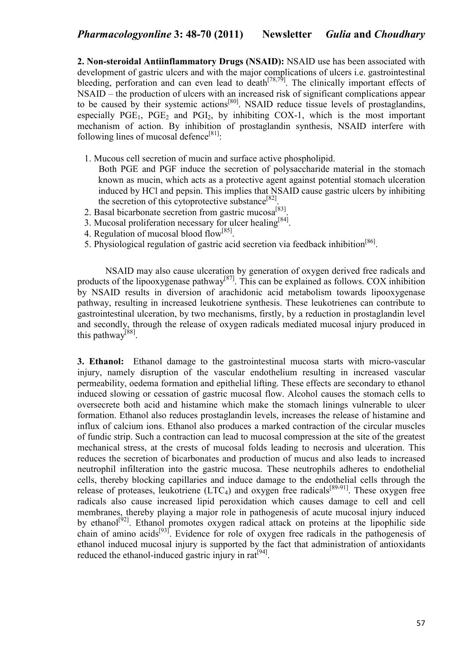**2. Non-steroidal Antiinflammatory Drugs (NSAID):** NSAID use has been associated with development of gastric ulcers and with the major complications of ulcers i.e. gastrointestinal bleeding, perforation and can even lead to death<sup> $[78,79]$ </sup>. The clinically important effects of NSAID – the production of ulcers with an increased risk of significant complications appear to be caused by their systemic actions<sup>[80]</sup>. NSAID reduce tissue levels of prostaglandins, especially  $PGE_1$ ,  $PGE_2$  and  $PGI_2$ , by inhibiting COX-1, which is the most important mechanism of action. By inhibition of prostaglandin synthesis, NSAID interfere with following lines of mucosal defence<sup>[81]</sup>:

- 1. Mucous cell secretion of mucin and surface active phospholipid.
- Both PGE and PGF induce the secretion of polysaccharide material in the stomach known as mucin, which acts as a protective agent against potential stomach ulceration induced by HCl and pepsin. This implies that NSAID cause gastric ulcers by inhibiting the secretion of this cytoprotective substance<sup>[82]</sup>.
- 2. Basal bicarbonate secretion from gastric mucosa<sup>[83]</sup>.
- 3. Mucosal proliferation necessary for ulcer healing<sup>[84]</sup>.
- 4. Regulation of mucosal blood flow<sup>[85]</sup>.
- 5. Physiological regulation of gastric acid secretion via feedback inhibition<sup>[86]</sup>.

NSAID may also cause ulceration by generation of oxygen derived free radicals and products of the lipooxygenase pathway<sup>[87]</sup>. This can be explained as follows. COX inhibition by NSAID results in diversion of arachidonic acid metabolism towards lipooxygenase pathway, resulting in increased leukotriene synthesis. These leukotrienes can contribute to gastrointestinal ulceration, by two mechanisms, firstly, by a reduction in prostaglandin level and secondly, through the release of oxygen radicals mediated mucosal injury produced in this pathway<sup>[88]</sup>.

**3. Ethanol:** Ethanol damage to the gastrointestinal mucosa starts with micro-vascular injury, namely disruption of the vascular endothelium resulting in increased vascular permeability, oedema formation and epithelial lifting. These effects are secondary to ethanol induced slowing or cessation of gastric mucosal flow. Alcohol causes the stomach cells to oversecrete both acid and histamine which make the stomach linings vulnerable to ulcer formation. Ethanol also reduces prostaglandin levels, increases the release of histamine and influx of calcium ions. Ethanol also produces a marked contraction of the circular muscles of fundic strip. Such a contraction can lead to mucosal compression at the site of the greatest mechanical stress, at the crests of mucosal folds leading to necrosis and ulceration. This reduces the secretion of bicarbonates and production of mucus and also leads to increased neutrophil infilteration into the gastric mucosa. These neutrophils adheres to endothelial cells, thereby blocking capillaries and induce damage to the endothelial cells through the release of proteases, leukotriene  $(LTC_4)$  and oxygen free radicals<sup>[89-91]</sup>. These oxygen free radicals also cause increased lipid peroxidation which causes damage to cell and cell membranes, thereby playing a major role in pathogenesis of acute mucosal injury induced by ethanol<sup>[92]</sup>. Ethanol promotes oxygen radical attack on proteins at the lipophilic side chain of amino acids<sup>[93]</sup>. Evidence for role of oxygen free radicals in the pathogenesis of ethanol induced mucosal injury is supported by the fact that administration of antioxidants reduced the ethanol-induced gastric injury in rat<sup>[94]</sup>.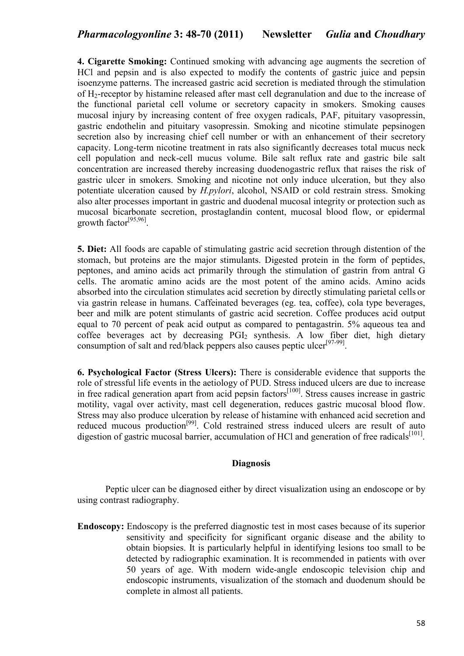**4. Cigarette Smoking:** Continued smoking with advancing age augments the secretion of HCl and pepsin and is also expected to modify the contents of gastric juice and pepsin isoenzyme patterns. The increased gastric acid secretion is mediated through the stimulation of H2-receptor by histamine released after mast cell degranulation and due to the increase of the functional parietal cell volume or secretory capacity in smokers. Smoking causes mucosal injury by increasing content of free oxygen radicals, PAF, pituitary vasopressin, gastric endothelin and pituitary vasopressin. Smoking and nicotine stimulate pepsinogen secretion also by increasing chief cell number or with an enhancement of their secretory capacity. Long-term nicotine treatment in rats also significantly decreases total mucus neck cell population and neck-cell mucus volume. Bile salt reflux rate and gastric bile salt concentration are increased thereby increasing duodenogastric reflux that raises the risk of gastric ulcer in smokers. Smoking and nicotine not only induce ulceration, but they also potentiate ulceration caused by *H.pylori*, alcohol, NSAID or cold restrain stress. Smoking also alter processes important in gastric and duodenal mucosal integrity or protection such as mucosal bicarbonate secretion, prostaglandin content, mucosal blood flow, or epidermal growth factor<sup>[95,96]</sup>.

**5. Diet:** All foods are capable of stimulating gastric acid secretion through distention of the stomach, but proteins are the major stimulants. Digested protein in the form of peptides, peptones, and amino acids act primarily through the stimulation of gastrin from antral G cells. The aromatic amino acids are the most potent of the amino acids. Amino acids absorbed into the circulation stimulates acid secretion by directly stimulating parietal cells or via gastrin release in humans. Caffeinated beverages (eg. tea, coffee), cola type beverages, beer and milk are potent stimulants of gastric acid secretion. Coffee produces acid output equal to 70 percent of peak acid output as compared to pentagastrin. 5% aqueous tea and coffee beverages act by decreasing  $PGI<sub>2</sub>$  synthesis. A low fiber diet, high dietary consumption of salt and red/black peppers also causes peptic ulcer<sup>[97-99]</sup>.

**6. Psychological Factor (Stress Ulcers):** There is considerable evidence that supports the role of stressful life events in the aetiology of PUD. Stress induced ulcers are due to increase in free radical generation apart from acid pepsin factors<sup>[100]</sup>. Stress causes increase in gastric motility, vagal over activity, mast cell degeneration, reduces gastric mucosal blood flow. Stress may also produce ulceration by release of histamine with enhanced acid secretion and reduced mucous production<sup>[99]</sup>. Cold restrained stress induced ulcers are result of auto digestion of gastric mucosal barrier, accumulation of HCl and generation of free radicals<sup>[101]</sup>.

## **Diagnosis**

Peptic ulcer can be diagnosed either by direct visualization using an endoscope or by using contrast radiography.

**Endoscopy:** Endoscopy is the preferred diagnostic test in most cases because of its superior sensitivity and specificity for significant organic disease and the ability to obtain biopsies. It is particularly helpful in identifying lesions too small to be detected by radiographic examination. It is recommended in patients with over 50 years of age. With modern wide-angle endoscopic television chip and endoscopic instruments, visualization of the stomach and duodenum should be complete in almost all patients.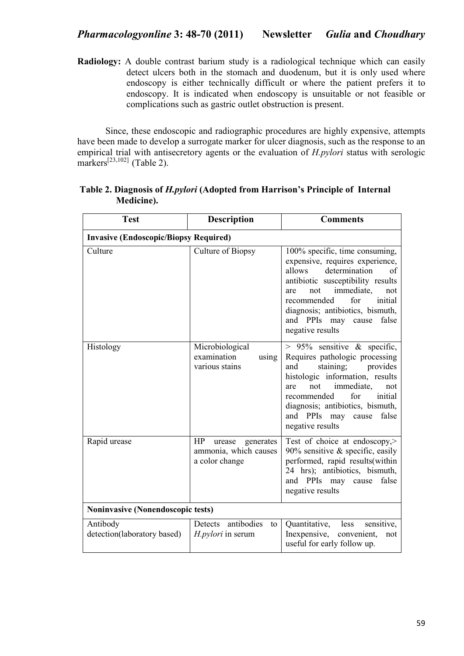**Radiology:** A double contrast barium study is a radiological technique which can easily detect ulcers both in the stomach and duodenum, but it is only used where endoscopy is either technically difficult or where the patient prefers it to endoscopy. It is indicated when endoscopy is unsuitable or not feasible or complications such as gastric outlet obstruction is present.

Since, these endoscopic and radiographic procedures are highly expensive, attempts have been made to develop a surrogate marker for ulcer diagnosis, such as the response to an empirical trial with antisecretory agents or the evaluation of *H.pylori* status with serologic markers<sup>[23,102]</sup> (Table 2).

| <b>Test</b>                                  | <b>Description</b>                                                   | <b>Comments</b>                                                                                                                                                                                                                                                                                    |  |
|----------------------------------------------|----------------------------------------------------------------------|----------------------------------------------------------------------------------------------------------------------------------------------------------------------------------------------------------------------------------------------------------------------------------------------------|--|
| <b>Invasive (Endoscopic/Biopsy Required)</b> |                                                                      |                                                                                                                                                                                                                                                                                                    |  |
| Culture                                      | Culture of Biopsy                                                    | 100% specific, time consuming,<br>expensive, requires experience,<br>determination<br>allows<br>of<br>antibiotic susceptibility results<br>immediate,<br>not<br>are<br>not<br>recommended<br>for<br>initial<br>diagnosis; antibiotics, bismuth,<br>and PPIs may cause<br>false<br>negative results |  |
| Histology                                    | Microbiological<br>examination<br>using<br>various stains            | $> 95\%$ sensitive & specific,<br>Requires pathologic processing<br>and<br>staining;<br>provides<br>histologic information, results<br>immediate,<br>not<br>are<br>not<br>for<br>recommended<br>initial<br>diagnosis; antibiotics, bismuth,<br>and PPIs may<br>false<br>cause<br>negative results  |  |
| Rapid urease                                 | HP<br>urease<br>generates<br>ammonia, which causes<br>a color change | Test of choice at endoscopy,><br>90% sensitive $\&$ specific, easily<br>performed, rapid results(within<br>24 hrs); antibiotics, bismuth,<br>and PPIs may cause<br>false<br>negative results                                                                                                       |  |
| <b>Noninvasive (Nonendoscopic tests)</b>     |                                                                      |                                                                                                                                                                                                                                                                                                    |  |
| Antibody<br>detection(laboratory based)      | antibodies<br>Detects<br>to<br><i>H.pylori</i> in serum              | Quantitative,<br>less<br>sensitive,<br>Inexpensive,<br>convenient,<br>not<br>useful for early follow up.                                                                                                                                                                                           |  |

# **Table 2. Diagnosis of** *H.pylori* **(Adopted from Harrison's Principle of Internal Medicine).**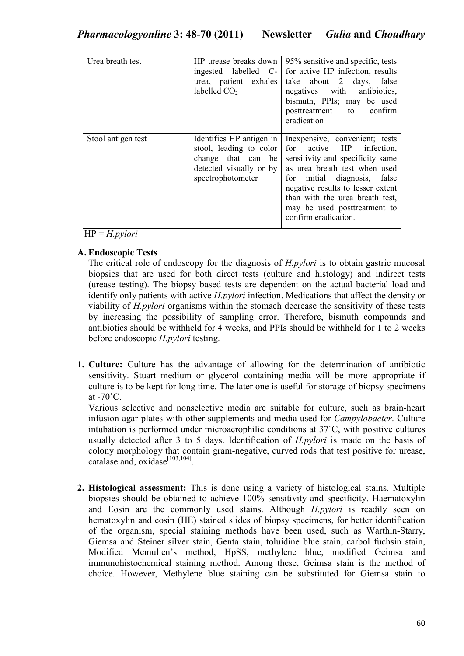| Urea breath test   | HP urease breaks down<br>ingested labelled C-<br>urea, patient exhales<br>labelled $CO2$                                  | 95% sensitive and specific, tests<br>for active HP infection, results<br>take about 2 days, false<br>negatives with antibiotics,<br>bismuth, PPIs; may be used<br>posttreatment to confirm<br>eradication                                                                                           |
|--------------------|---------------------------------------------------------------------------------------------------------------------------|-----------------------------------------------------------------------------------------------------------------------------------------------------------------------------------------------------------------------------------------------------------------------------------------------------|
| Stool antigen test | Identifies HP antigen in<br>stool, leading to color<br>change that can be<br>detected visually or by<br>spectrophotometer | In expensive, convenient; tests<br>for active HP<br>infection,<br>sensitivity and specificity same<br>as urea breath test when used<br>for initial diagnosis, false<br>negative results to lesser extent<br>than with the urea breath test,<br>may be used posttreatment to<br>confirm eradication. |

HP = *H.pylori*

# **A. Endoscopic Tests**

The critical role of endoscopy for the diagnosis of *H.pylori* is to obtain gastric mucosal biopsies that are used for both direct tests (culture and histology) and indirect tests (urease testing). The biopsy based tests are dependent on the actual bacterial load and identify only patients with active *H.pylori* infection. Medications that affect the density or viability of *H.pylori* organisms within the stomach decrease the sensitivity of these tests by increasing the possibility of sampling error. Therefore, bismuth compounds and antibiotics should be withheld for 4 weeks, and PPIs should be withheld for 1 to 2 weeks before endoscopic *H.pylori* testing.

**1. Culture:** Culture has the advantage of allowing for the determination of antibiotic sensitivity. Stuart medium or glycerol containing media will be more appropriate if culture is to be kept for long time. The later one is useful for storage of biopsy specimens at  $-70^{\circ}$ C.

Various selective and nonselective media are suitable for culture, such as brain-heart infusion agar plates with other supplements and media used for *Campylobacter*. Culture intubation is performed under microaerophilic conditions at 37˚C, with positive cultures usually detected after 3 to 5 days. Identification of *H.pylori* is made on the basis of colony morphology that contain gram-negative, curved rods that test positive for urease, catalase and,  $oxidase^{[103,104]}$ .

**2. Histological assessment:** This is done using a variety of histological stains. Multiple biopsies should be obtained to achieve 100% sensitivity and specificity. Haematoxylin and Eosin are the commonly used stains. Although *H.pylori* is readily seen on hematoxylin and eosin (HE) stained slides of biopsy specimens, for better identification of the organism, special staining methods have been used, such as Warthin-Starry, Giemsa and Steiner silver stain, Genta stain, toluidine blue stain, carbol fuchsin stain, Modified Mcmullen's method, HpSS, methylene blue, modified Geimsa and immunohistochemical staining method. Among these, Geimsa stain is the method of choice. However, Methylene blue staining can be substituted for Giemsa stain to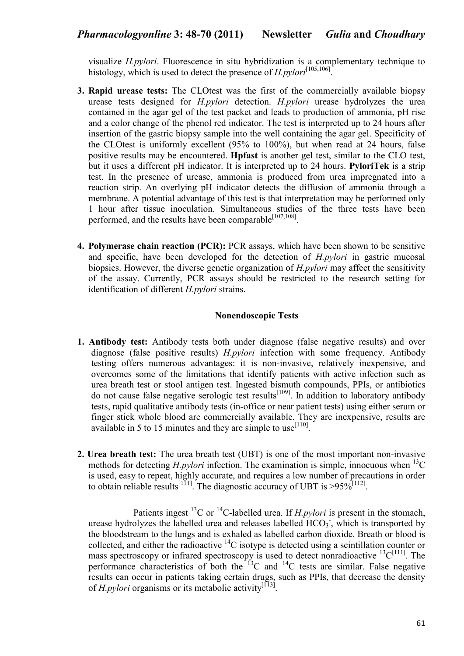visualize *H.pylori*. Fluorescence in situ hybridization is a complementary technique to histology, which is used to detect the presence of *H.pylori*<sup>[105,106]</sup>.

- **3. Rapid urease tests:** The CLOtest was the first of the commercially available biopsy urease tests designed for *H.pylori* detection. *H.pylori* urease hydrolyzes the urea contained in the agar gel of the test packet and leads to production of ammonia, pH rise and a color change of the phenol red indicator. The test is interpreted up to 24 hours after insertion of the gastric biopsy sample into the well containing the agar gel. Specificity of the CLOtest is uniformly excellent (95% to 100%), but when read at 24 hours, false positive results may be encountered. **Hpfast** is another gel test, similar to the CLO test, but it uses a different pH indicator. It is interpreted up to 24 hours. **PyloriTek** is a strip test. In the presence of urease, ammonia is produced from urea impregnated into a reaction strip. An overlying pH indicator detects the diffusion of ammonia through a membrane. A potential advantage of this test is that interpretation may be performed only 1 hour after tissue inoculation. Simultaneous studies of the three tests have been performed, and the results have been comparable<sup>[107,108]</sup>.
- **4. Polymerase chain reaction (PCR):** PCR assays, which have been shown to be sensitive and specific, have been developed for the detection of *H.pylori* in gastric mucosal biopsies. However, the diverse genetic organization of *H.pylori* may affect the sensitivity of the assay. Currently, PCR assays should be restricted to the research setting for identification of different *H.pylori* strains.

# **onendoscopic Tests**

- **1. Antibody test:** Antibody tests both under diagnose (false negative results) and over diagnose (false positive results) *H.pylori* infection with some frequency. Antibody testing offers numerous advantages: it is non-invasive, relatively inexpensive, and overcomes some of the limitations that identify patients with active infection such as urea breath test or stool antigen test. Ingested bismuth compounds, PPIs, or antibiotics do not cause false negative serologic test results<sup>[109]</sup>. In addition to laboratory antibody tests, rapid qualitative antibody tests (in-office or near patient tests) using either serum or finger stick whole blood are commercially available. They are inexpensive, results are available in 5 to 15 minutes and they are simple to use  $[110]$ .
- **2. Urea breath test:** The urea breath test (UBT) is one of the most important non-invasive methods for detecting *H.pylori* infection. The examination is simple, innocuous when <sup>13</sup>C is used, easy to repeat, highly accurate, and requires a low number of precautions in order to obtain reliable results<sup>[111]</sup>. The diagnostic accuracy of UBT is >95%<sup>[112]</sup>.

Patients ingest <sup>13</sup>C or <sup>14</sup>C-labelled urea. If *H.pylori* is present in the stomach, urease hydrolyzes the labelled urea and releases labelled  $HCO<sub>3</sub>$ , which is transported by the bloodstream to the lungs and is exhaled as labelled carbon dioxide. Breath or blood is collected, and either the radioactive <sup>14</sup>C isotype is detected using a scintillation counter or mass spectroscopy or infrared spectroscopy is used to detect nonradioactive  $^{13}C^{[111]}$ . The performance characteristics of both the  $13^{\circ}$ C and  $14^{\circ}$ C tests are similar. False negative results can occur in patients taking certain drugs, such as PPIs, that decrease the density of *H.pylori* organisms or its metabolic activity<sup>[113]</sup>.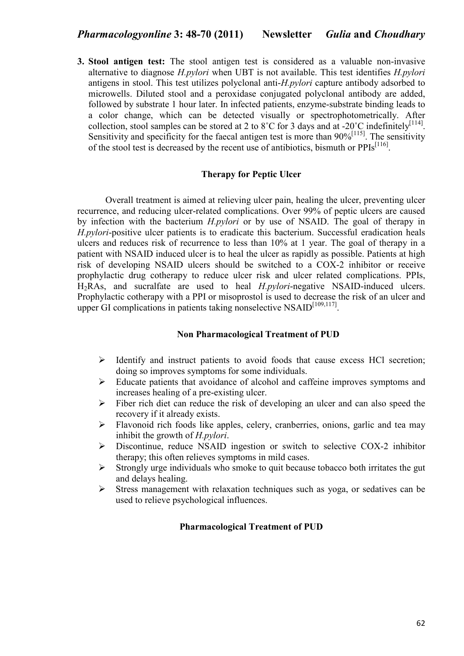**3. Stool antigen test:** The stool antigen test is considered as a valuable non-invasive alternative to diagnose *H.pylori* when UBT is not available. This test identifies *H.pylori* antigens in stool. This test utilizes polyclonal anti-*H.pylori* capture antibody adsorbed to microwells. Diluted stool and a peroxidase conjugated polyclonal antibody are added, followed by substrate 1 hour later. In infected patients, enzyme-substrate binding leads to a color change, which can be detected visually or spectrophotometrically. After collection, stool samples can be stored at 2 to 8°C for 3 days and at -20°C indefinitely<sup>[114]</sup>. Sensitivity and specificity for the faecal antigen test is more than  $90\%$ <sup>[115]</sup>. The sensitivity of the stool test is decreased by the recent use of antibiotics, bismuth or  $PPIs<sup>[116]</sup>$ .

## **Therapy for Peptic Ulcer**

Overall treatment is aimed at relieving ulcer pain, healing the ulcer, preventing ulcer recurrence, and reducing ulcer-related complications. Over 99% of peptic ulcers are caused by infection with the bacterium *H.pylori* or by use of NSAID. The goal of therapy in *H.pylori*-positive ulcer patients is to eradicate this bacterium. Successful eradication heals ulcers and reduces risk of recurrence to less than 10% at 1 year. The goal of therapy in a patient with NSAID induced ulcer is to heal the ulcer as rapidly as possible. Patients at high risk of developing NSAID ulcers should be switched to a COX-2 inhibitor or receive prophylactic drug cotherapy to reduce ulcer risk and ulcer related complications. PPIs, H2RAs, and sucralfate are used to heal *H.pylori*-negative NSAID-induced ulcers. Prophylactic cotherapy with a PPI or misoprostol is used to decrease the risk of an ulcer and upper GI complications in patients taking nonselective NSAID<sup>[109,117]</sup>.

## **Non Pharmacological Treatment of PUD**

- $\blacktriangleright$  Identify and instruct patients to avoid foods that cause excess HCl secretion; doing so improves symptoms for some individuals.
- $\blacktriangleright$  Educate patients that avoidance of alcohol and caffeine improves symptoms and increases healing of a pre-existing ulcer.
- $\blacktriangleright$  Fiber rich diet can reduce the risk of developing an ulcer and can also speed the recovery if it already exists.
- $\blacktriangleright$  Flavonoid rich foods like apples, celery, cranberries, onions, garlic and tea may inhibit the growth of *H.pylori*.
- $\blacktriangleright$  Discontinue, reduce NSAID ingestion or switch to selective COX-2 inhibitor therapy; this often relieves symptoms in mild cases.
- $\blacktriangleright$  Strongly urge individuals who smoke to quit because tobacco both irritates the gut and delays healing.
- $\blacktriangleright$  Stress management with relaxation techniques such as yoga, or sedatives can be used to relieve psychological influences.

#### **Pharmacological Treatment of PUD**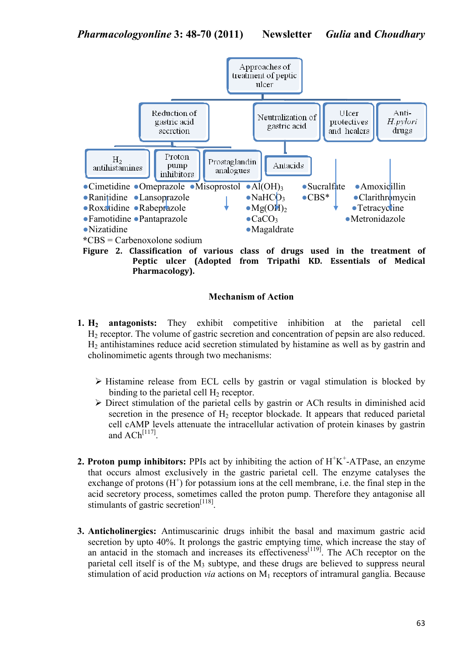

**Peptic ulcer (Adopted from Tripathi KD. Essentials of Medical Pharmacology).** 

# **Mechanism of Action**

- **1. H2 antagonists:** They exhibit competitive inhibition at the parietal cell H2 receptor. The volume of gastric secretion and concentration of pepsin are also reduced. H2 antihistamines reduce acid secretion stimulated by histamine as well as by gastrin and cholinomimetic agents through two mechanisms:
	- Histamine release from ECL cells by gastrin or vagal stimulation is blocked by binding to the parietal cell  $H<sub>2</sub>$  receptor.
	- > Direct stimulation of the parietal cells by gastrin or ACh results in diminished acid secretion in the presence of  $H<sub>2</sub>$  receptor blockade. It appears that reduced parietal cell cAMP levels attenuate the intracellular activation of protein kinases by gastrin and  $ACh<sup>[117]</sup>$ .
- **2. Proton pump inhibitors:** PPIs act by inhibiting the action of  $H^+K^+$ -ATPase, an enzyme that occurs almost exclusively in the gastric parietal cell. The enzyme catalyses the exchange of protons  $(H<sup>+</sup>)$  for potassium ions at the cell membrane, i.e. the final step in the acid secretory process, sometimes called the proton pump. Therefore they antagonise all stimulants of gastric secretion<sup>[118]</sup>.
- **3. Anticholinergics:** Antimuscarinic drugs inhibit the basal and maximum gastric acid secretion by upto 40%. It prolongs the gastric emptying time, which increase the stay of an antacid in the stomach and increases its effectiveness<sup>[119]</sup>. The ACh receptor on the parietal cell itself is of the  $M_3$  subtype, and these drugs are believed to suppress neural stimulation of acid production *via* actions on M<sub>1</sub> receptors of intramural ganglia. Because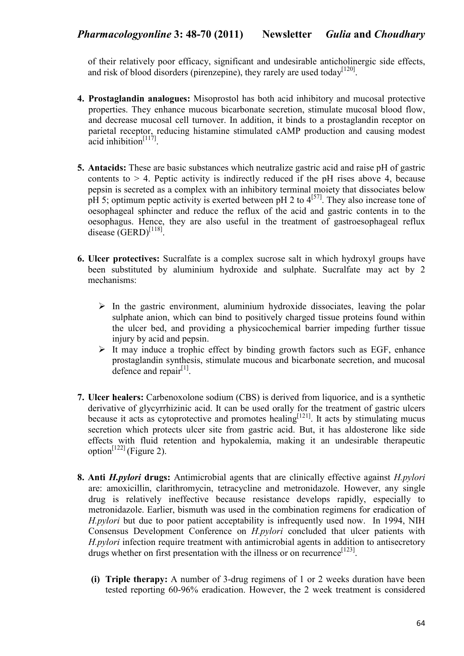of their relatively poor efficacy, significant and undesirable anticholinergic side effects, and risk of blood disorders (pirenzepine), they rarely are used today  $[120]$ .

- **4. Prostaglandin analogues:** Misoprostol has both acid inhibitory and mucosal protective properties. They enhance mucous bicarbonate secretion, stimulate mucosal blood flow, and decrease mucosal cell turnover. In addition, it binds to a prostaglandin receptor on parietal receptor, reducing histamine stimulated cAMP production and causing modest  $\alpha$  inhibition<sup>[117]</sup>.
- **5. Antacids:** These are basic substances which neutralize gastric acid and raise pH of gastric contents to  $> 4$ . Peptic activity is indirectly reduced if the pH rises above 4, because pepsin is secreted as a complex with an inhibitory terminal moiety that dissociates below pH 5; optimum peptic activity is exerted between pH 2 to  $4^{[57]}$ . They also increase tone of oesophageal sphincter and reduce the reflux of the acid and gastric contents in to the oesophagus. Hence, they are also useful in the treatment of gastroesophageal reflux disease  $(GERD)^{[118]}$ .
- **6. Ulcer protectives:** Sucralfate is a complex sucrose salt in which hydroxyl groups have been substituted by aluminium hydroxide and sulphate. Sucralfate may act by 2 mechanisms:
	- $\triangleright$  In the gastric environment, aluminium hydroxide dissociates, leaving the polar sulphate anion, which can bind to positively charged tissue proteins found within the ulcer bed, and providing a physicochemical barrier impeding further tissue injury by acid and pepsin.
	- > It may induce a trophic effect by binding growth factors such as EGF, enhance prostaglandin synthesis, stimulate mucous and bicarbonate secretion, and mucosal defence and repair<sup>[1]</sup>.
- **7. Ulcer healers:** Carbenoxolone sodium (CBS) is derived from liquorice, and is a synthetic derivative of glycyrrhizinic acid. It can be used orally for the treatment of gastric ulcers because it acts as cytoprotective and promotes healing $[121]$ . It acts by stimulating mucus secretion which protects ulcer site from gastric acid. But, it has aldosterone like side effects with fluid retention and hypokalemia, making it an undesirable therapeutic option<sup>[122]</sup> (Figure 2).
- **8. Anti** *H.pylori* **drugs:** Antimicrobial agents that are clinically effective against *H.pylori* are: amoxicillin, clarithromycin, tetracycline and metronidazole. However, any single drug is relatively ineffective because resistance develops rapidly, especially to metronidazole. Earlier, bismuth was used in the combination regimens for eradication of *H.pylori* but due to poor patient acceptability is infrequently used now. In 1994, NIH Consensus Development Conference on *H.pylori* concluded that ulcer patients with *H.pylori* infection require treatment with antimicrobial agents in addition to antisecretory drugs whether on first presentation with the illness or on recurrence<sup>[123]</sup>.
	- **(i) Triple therapy:** A number of 3-drug regimens of 1 or 2 weeks duration have been tested reporting 60-96% eradication. However, the 2 week treatment is considered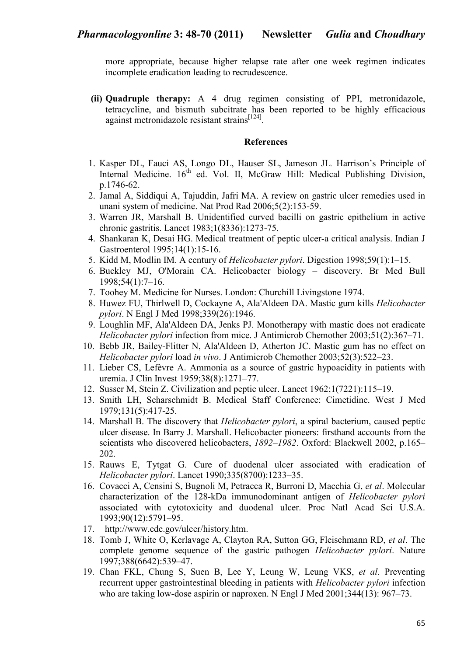more appropriate, because higher relapse rate after one week regimen indicates incomplete eradication leading to recrudescence.

**(ii) Quadruple therapy:** A 4 drug regimen consisting of PPI, metronidazole, tetracycline, and bismuth subcitrate has been reported to be highly efficacious against metronidazole resistant strains<sup>[124]</sup>.

### **References**

- 1. Kasper DL, Fauci AS, Longo DL, Hauser SL, Jameson JL*.* Harrison's Principle of Internal Medicine.  $16<sup>th</sup>$  ed. Vol. II, McGraw Hill: Medical Publishing Division, p.1746-62.
- 2. Jamal A, Siddiqui A, Tajuddin, Jafri MA. A review on gastric ulcer remedies used in unani system of medicine. Nat Prod Rad 2006;5(2):153-59.
- 3. Warren JR, Marshall B. Unidentified curved bacilli on gastric epithelium in active chronic gastritis. Lancet 1983;1(8336):1273-75.
- 4. Shankaran K, Desai HG. Medical treatment of peptic ulcer-a critical analysis. Indian J Gastroenterol 1995;14(1):15-16.
- 5. Kidd M, Modlin IM. A century of *Helicobacter pylori*. Digestion 1998;59(1):1–15.
- 6. Buckley MJ, O'Morain CA. Helicobacter biology discovery. Br Med Bull 1998;54(1):7–16.
- 7. Toohey M. Medicine for Nurses. London: Churchill Livingstone 1974.
- 8. Huwez FU, Thirlwell D, Cockayne A, Ala'Aldeen DA. Mastic gum kills *Helicobacter pylori*. N Engl J Med 1998;339(26):1946.
- 9. Loughlin MF, Ala'Aldeen DA, Jenks PJ. Monotherapy with mastic does not eradicate *Helicobacter pylori* infection from mice. J Antimicrob Chemother 2003;51(2):367–71.
- 10. Bebb JR, Bailey-Flitter N, Ala'Aldeen D, Atherton JC. Mastic gum has no effect on *Helicobacter pylori* load *in vivo*. J Antimicrob Chemother 2003;52(3):522–23.
- 11. Lieber CS, Lefèvre A. Ammonia as a source of gastric hypoacidity in patients with uremia. J Clin Invest 1959;38(8):1271–77.
- 12. Susser M, Stein Z. Civilization and peptic ulcer. Lancet 1962;1(7221):115–19.
- 13. Smith LH, Scharschmidt B. Medical Staff Conference: Cimetidine. West J Med 1979;131(5):417-25.
- 14. Marshall B. The discovery that *Helicobacter pylori*, a spiral bacterium, caused peptic ulcer disease. In Barry J. Marshall. Helicobacter pioneers: firsthand accounts from the scientists who discovered helicobacters, *1892–1982*. Oxford: Blackwell 2002, p.165– 202.
- 15. Rauws E, Tytgat G. Cure of duodenal ulcer associated with eradication of *Helicobacter pylori*. Lancet 1990;335(8700):1233–35.
- 16. Covacci A, Censini S, Bugnoli M, Petracca R, Burroni D, Macchia G, *et al*. Molecular characterization of the 128-kDa immunodominant antigen of *Helicobacter pylori* associated with cytotoxicity and duodenal ulcer. Proc Natl Acad Sci U.S.A. 1993;90(12):5791–95.
- 17. http://www.cdc.gov/ulcer/history.htm.
- 18. Tomb J, White O, Kerlavage A, Clayton RA, Sutton GG, Fleischmann RD, *et al*. The complete genome sequence of the gastric pathogen *Helicobacter pylori*. Nature 1997;388(6642):539–47.
- 19. Chan FKL, Chung S, Suen B, Lee Y, Leung W, Leung VKS, *et al*. Preventing recurrent upper gastrointestinal bleeding in patients with *Helicobacter pylori* infection who are taking low-dose aspirin or naproxen. N Engl J Med 2001;344(13): 967–73.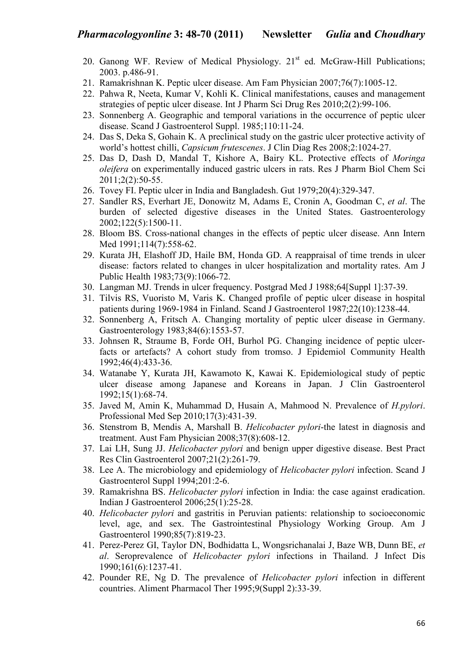- 20. Ganong WF. Review of Medical Physiology. 21<sup>st</sup> ed. McGraw-Hill Publications; 2003. p.486-91.
- 21. Ramakrishnan K. Peptic ulcer disease. Am Fam Physician 2007;76(7):1005-12.
- 22. Pahwa R, Neeta, Kumar V, Kohli K. Clinical manifestations, causes and management strategies of peptic ulcer disease. Int J Pharm Sci Drug Res 2010;2(2):99-106.
- 23. Sonnenberg A. Geographic and temporal variations in the occurrence of peptic ulcer disease. Scand J Gastroenterol Suppl. 1985;110:11-24.
- 24. Das S, Deka S, Gohain K. A preclinical study on the gastric ulcer protective activity of world's hottest chilli, *Capsicum frutescenes*. J Clin Diag Res 2008;2:1024-27.
- 25. Das D, Dash D, Mandal T, Kishore A, Bairy KL. Protective effects of *Moringa oleifera* on experimentally induced gastric ulcers in rats. Res J Pharm Biol Chem Sci 2011;2(2):50-55.
- 26. Tovey FI. Peptic ulcer in India and Bangladesh. Gut 1979;20(4):329-347.
- 27. Sandler RS, Everhart JE, Donowitz M, Adams E, Cronin A, Goodman C, *et al*. The burden of selected digestive diseases in the United States. Gastroenterology 2002;122(5):1500-11.
- 28. Bloom BS. Cross-national changes in the effects of peptic ulcer disease. Ann Intern Med 1991:114(7):558-62.
- 29. Kurata JH, Elashoff JD, Haile BM, Honda GD. A reappraisal of time trends in ulcer disease: factors related to changes in ulcer hospitalization and mortality rates. Am J Public Health 1983;73(9):1066-72.
- 30. Langman MJ. Trends in ulcer frequency. Postgrad Med J 1988;64[Suppl 1]:37-39.
- 31. Tilvis RS, Vuoristo M, Varis K. Changed profile of peptic ulcer disease in hospital patients during 1969-1984 in Finland. Scand J Gastroenterol 1987;22(10):1238-44.
- 32. Sonnenberg A, Fritsch A. Changing mortality of peptic ulcer disease in Germany. Gastroenterology 1983;84(6):1553-57.
- 33. Johnsen R, Straume B, Forde OH, Burhol PG. Changing incidence of peptic ulcerfacts or artefacts? A cohort study from tromso. J Epidemiol Community Health 1992;46(4):433-36.
- 34. Watanabe Y, Kurata JH, Kawamoto K, Kawai K. Epidemiological study of peptic ulcer disease among Japanese and Koreans in Japan. J Clin Gastroenterol 1992;15(1):68-74.
- 35. Javed M, Amin K, Muhammad D, Husain A, Mahmood N. Prevalence of *H.pylori*. Professional Med Sep 2010;17(3):431-39.
- 36. Stenstrom B, Mendis A, Marshall B. *Helicobacter pylori*-the latest in diagnosis and treatment. Aust Fam Physician 2008;37(8):608-12.
- 37. Lai LH, Sung JJ. *Helicobacter pylori* and benign upper digestive disease. Best Pract Res Clin Gastroenterol 2007;21(2):261-79.
- 38. Lee A. The microbiology and epidemiology of *Helicobacter pylori* infection. Scand J Gastroenterol Suppl 1994;201:2-6.
- 39. Ramakrishna BS. *Helicobacter pylori* infection in India: the case against eradication. Indian J Gastroenterol 2006;25(1):25-28.
- 40. *Helicobacter pylori* and gastritis in Peruvian patients: relationship to socioeconomic level, age, and sex. The Gastrointestinal Physiology Working Group. Am J Gastroenterol 1990;85(7):819-23.
- 41. Perez-Perez GI, Taylor DN, Bodhidatta L, Wongsrichanalai J, Baze WB, Dunn BE, *et al*. Seroprevalence of *Helicobacter pylori* infections in Thailand. J Infect Dis 1990;161(6):1237-41.
- 42. Pounder RE, Ng D. The prevalence of *Helicobacter pylori* infection in different countries. Aliment Pharmacol Ther 1995;9(Suppl 2):33-39.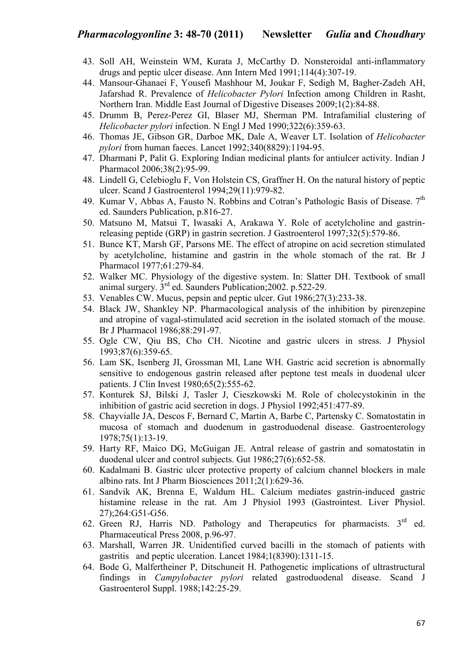- 43. Soll AH, Weinstein WM, Kurata J, McCarthy D. Nonsteroidal anti-inflammatory drugs and peptic ulcer disease. Ann Intern Med 1991;114(4):307-19.
- 44. Mansour-Ghanaei F, Yousefi Mashhour M, Joukar F, Sedigh M, Bagher-Zadeh AH, Jafarshad R. Prevalence of *Helicobacter Pylori* Infection among Children in Rasht, Northern Iran. Middle East Journal of Digestive Diseases 2009;1(2):84-88.
- 45. Drumm B, Perez-Perez GI, Blaser MJ, Sherman PM. Intrafamilial clustering of *Helicobacter pylori* infection. N Engl J Med 1990;322(6):359-63.
- 46. Thomas JE, Gibson GR, Darboe MK, Dale A, Weaver LT. Isolation of *Helicobacter pylori* from human faeces. Lancet 1992;340(8829):1194-95.
- 47. Dharmani P, Palit G. Exploring Indian medicinal plants for antiulcer activity. Indian J Pharmacol 2006;38(2):95-99.
- 48. Lindell G, Celebioglu F, Von Holstein CS, Graffner H. On the natural history of peptic ulcer. Scand J Gastroenterol 1994;29(11):979-82.
- 49. Kumar V, Abbas A, Fausto N, Robbins and Cotran's Pathologic Basis of Disease. 7<sup>th</sup> ed. Saunders Publication, p.816-27.
- 50. Matsuno M, Matsui T, Iwasaki A, Arakawa Y. Role of acetylcholine and gastrinreleasing peptide (GRP) in gastrin secretion. J Gastroenterol 1997;32(5):579-86.
- 51. Bunce KT, Marsh GF, Parsons ME. The effect of atropine on acid secretion stimulated by acetylcholine, histamine and gastrin in the whole stomach of the rat. Br J Pharmacol 1977;61:279-84.
- 52. Walker MC. Physiology of the digestive system. In: Slatter DH. Textbook of small animal surgery. 3rd ed. Saunders Publication;2002. p.522-29.
- 53. Venables CW. Mucus, pepsin and peptic ulcer. Gut 1986;27(3):233-38.
- 54. Black JW, Shankley NP. Pharmacological analysis of the inhibition by pirenzepine and atropine of vagal-stimulated acid secretion in the isolated stomach of the mouse. Br J Pharmacol 1986;88:291-97.
- 55. Ogle CW, Qiu BS, Cho CH. Nicotine and gastric ulcers in stress. J Physiol 1993;87(6):359-65.
- 56. Lam SK, Isenberg JI, Grossman MI, Lane WH. Gastric acid secretion is abnormally sensitive to endogenous gastrin released after peptone test meals in duodenal ulcer patients. J Clin Invest 1980;65(2):555-62.
- 57. Konturek SJ, Bilski J, Tasler J, Cieszkowski M. Role of cholecystokinin in the inhibition of gastric acid secretion in dogs. J Physiol 1992;451:477-89.
- 58. Chayvialle JA, Descos F, Bernard C, Martin A, Barbe C, Partensky C. Somatostatin in mucosa of stomach and duodenum in gastroduodenal disease. Gastroenterology 1978;75(1):13-19.
- 59. Harty RF, Maico DG, McGuigan JE. Antral release of gastrin and somatostatin in duodenal ulcer and control subjects. Gut 1986;27(6):652-58.
- 60. Kadalmani B. Gastric ulcer protective property of calcium channel blockers in male albino rats. Int J Pharm Biosciences 2011;2(1):629-36.
- 61. Sandvik AK, Brenna E, Waldum HL. Calcium mediates gastrin-induced gastric histamine release in the rat. Am J Physiol 1993 (Gastrointest. Liver Physiol. 27);264:G51-G56.
- 62. Green RJ, Harris ND. Pathology and Therapeutics for pharmacists.  $3<sup>rd</sup>$  ed. Pharmaceutical Press 2008, p.96-97.
- 63. Marshall, Warren JR. Unidentified curved bacilli in the stomach of patients with gastritis and peptic ulceration. Lancet 1984;1(8390):1311-15.
- 64. Bode G, Malfertheiner P, Ditschuneit H. Pathogenetic implications of ultrastructural findings in *Campylobacter pylori* related gastroduodenal disease. Scand J Gastroenterol Suppl. 1988;142:25-29.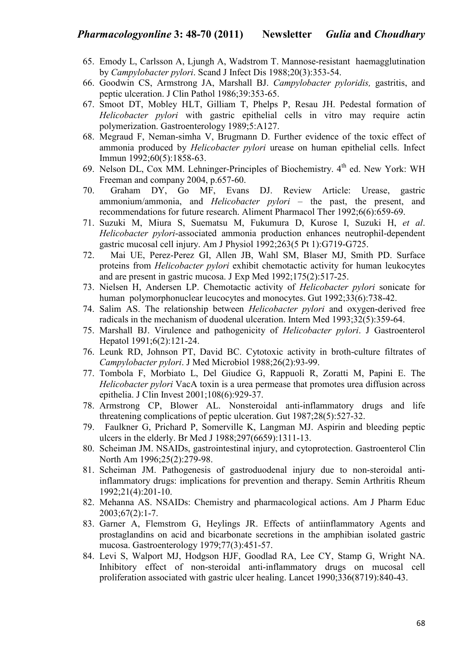- 65. Emody L, Carlsson A, Ljungh A, Wadstrom T. Mannose-resistant haemagglutination by *Campylobacter pylori*. Scand J Infect Dis 1988;20(3):353-54.
- 66. Goodwin CS, Armstrong JA, Marshall BJ. *Campylobacter pyloridis,* gastritis, and peptic ulceration. J Clin Pathol 1986;39:353-65.
- 67. Smoot DT, Mobley HLT, Gilliam T, Phelps P, Resau JH. Pedestal formation of *Helicobacter pylori* with gastric epithelial cells in vitro may require actin polymerization. Gastroenterology 1989;5:A127.
- 68. Megraud F, Neman-simha V, Brugmann D. Further evidence of the toxic effect of ammonia produced by *Helicobacter pylori* urease on human epithelial cells. Infect Immun 1992;60(5):1858-63.
- 69. Nelson DL, Cox MM. Lehninger-Principles of Biochemistry. 4th ed. New York: WH Freeman and company 2004, p.657-60.
- 70. Graham DY, Go MF, Evans DJ. Review Article: Urease, gastric ammonium/ammonia, and *Helicobacter pylori* – the past, the present, and recommendations for future research. Aliment Pharmacol Ther 1992;6(6):659-69.
- 71. Suzuki M, Miura S, Suematsu M, Fukumura D, Kurose I, Suzuki H, *et al*. *Helicobacter pylori*-associated ammonia production enhances neutrophil-dependent gastric mucosal cell injury. Am J Physiol 1992;263(5 Pt 1):G719-G725.
- 72. Mai UE, Perez-Perez GI, Allen JB, Wahl SM, Blaser MJ, Smith PD. Surface proteins from *Helicobacter pylori* exhibit chemotactic activity for human leukocytes and are present in gastric mucosa. J Exp Med 1992;175(2):517-25.
- 73. Nielsen H, Andersen LP. Chemotactic activity of *Helicobacter pylori* sonicate for human polymorphonuclear leucocytes and monocytes. Gut 1992;33(6):738-42.
- 74. Salim AS. The relationship between *Helicobacter pylori* and oxygen-derived free radicals in the mechanism of duodenal ulceration. Intern Med 1993;32(5):359-64.
- 75. Marshall BJ. Virulence and pathogenicity of *Helicobacter pylori*. J Gastroenterol Hepatol 1991;6(2):121-24.
- 76. Leunk RD, Johnson PT, David BC. Cytotoxic activity in broth-culture filtrates of *Campylobacter pylori*. J Med Microbiol 1988;26(2):93-99.
- 77. Tombola F, Morbiato L, Del Giudice G, Rappuoli R, Zoratti M, Papini E. The *Helicobacter pylori* VacA toxin is a urea permease that promotes urea diffusion across epithelia. J Clin Invest 2001;108(6):929-37.
- 78. Armstrong CP, Blower AL. Nonsteroidal anti-inflammatory drugs and life threatening complications of peptic ulceration. Gut 1987;28(5):527-32.
- 79. Faulkner G, Prichard P, Somerville K, Langman MJ. Aspirin and bleeding peptic ulcers in the elderly. Br Med J 1988;297(6659):1311-13.
- 80. Scheiman JM. NSAIDs, gastrointestinal injury, and cytoprotection. Gastroenterol Clin North Am 1996;25(2):279-98.
- 81. Scheiman JM. Pathogenesis of gastroduodenal injury due to non-steroidal antiinflammatory drugs: implications for prevention and therapy. Semin Arthritis Rheum 1992;21(4):201-10.
- 82. Mehanna AS. NSAIDs: Chemistry and pharmacological actions. Am J Pharm Educ 2003;67(2):1-7.
- 83. Garner A, Flemstrom G, Heylings JR. Effects of antiinflammatory Agents and prostaglandins on acid and bicarbonate secretions in the amphibian isolated gastric mucosa. Gastroenterology 1979;77(3):451-57.
- 84. Levi S, Walport MJ, Hodgson HJF, Goodlad RA, Lee CY, Stamp G, Wright NA. Inhibitory effect of non-steroidal anti-inflammatory drugs on mucosal cell proliferation associated with gastric ulcer healing. Lancet 1990;336(8719):840-43.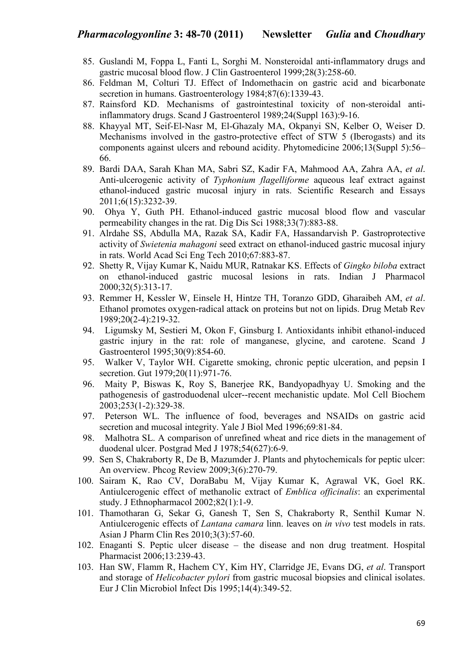- 85. Guslandi M, Foppa L, Fanti L, Sorghi M. Nonsteroidal anti-inflammatory drugs and gastric mucosal blood flow. J Clin Gastroenterol 1999;28(3):258-60.
- 86. Feldman M, Colturi TJ. Effect of Indomethacin on gastric acid and bicarbonate secretion in humans. Gastroenterology 1984;87(6):1339-43.
- 87. Rainsford KD. Mechanisms of gastrointestinal toxicity of non-steroidal antiinflammatory drugs. Scand J Gastroenterol 1989;24(Suppl 163):9-16.
- 88. Khayyal MT, Seif-El-Nasr M, El-Ghazaly MA, Okpanyi SN, Kelber O, Weiser D. Mechanisms involved in the gastro-protective effect of STW 5 (Iberogasts) and its components against ulcers and rebound acidity. Phytomedicine 2006;13(Suppl 5):56– 66.
- 89. Bardi DAA, Sarah Khan MA, Sabri SZ, Kadir FA, Mahmood AA, Zahra AA, *et al*. Anti-ulcerogenic activity of *Typhonium flagelliforme* aqueous leaf extract against ethanol-induced gastric mucosal injury in rats. Scientific Research and Essays 2011;6(15):3232-39.
- 90. Ohya Y, Guth PH. Ethanol-induced gastric mucosal blood flow and vascular permeability changes in the rat. Dig Dis Sci 1988;33(7):883-88.
- 91. Alrdahe SS, Abdulla MA, Razak SA, Kadir FA, Hassandarvish P. Gastroprotective activity of *Swietenia mahagoni* seed extract on ethanol-induced gastric mucosal injury in rats. World Acad Sci Eng Tech 2010;67:883-87.
- 92. Shetty R, Vijay Kumar K, Naidu MUR, Ratnakar KS. Effects of *Gingko biloba* extract on ethanol-induced gastric mucosal lesions in rats. Indian J Pharmacol 2000;32(5):313-17.
- 93. Remmer H, Kessler W, Einsele H, Hintze TH, Toranzo GDD, Gharaibeh AM, *et al*. Ethanol promotes oxygen-radical attack on proteins but not on lipids. Drug Metab Rev 1989;20(2-4):219-32.
- 94. Ligumsky M, Sestieri M, Okon F, Ginsburg I. Antioxidants inhibit ethanol-induced gastric injury in the rat: role of manganese, glycine, and carotene. Scand J Gastroenterol 1995;30(9):854-60.
- 95. Walker V, Taylor WH. Cigarette smoking, chronic peptic ulceration, and pepsin I secretion. Gut  $1979:20(11):971-76$ .
- 96. Maity P, Biswas K, Roy S, Banerjee RK, Bandyopadhyay U. Smoking and the pathogenesis of gastroduodenal ulcer--recent mechanistic update. Mol Cell Biochem 2003;253(1-2):329-38.
- 97. Peterson WL. The influence of food, beverages and NSAIDs on gastric acid secretion and mucosal integrity. Yale J Biol Med 1996;69:81-84.
- 98. Malhotra SL. A comparison of unrefined wheat and rice diets in the management of duodenal ulcer. Postgrad Med J 1978;54(627):6-9.
- 99. Sen S, Chakraborty R, De B, Mazumder J. Plants and phytochemicals for peptic ulcer: An overview. Phcog Review 2009;3(6):270-79.
- 100. Sairam K, Rao CV, DoraBabu M, Vijay Kumar K, Agrawal VK, Goel RK. Antiulcerogenic effect of methanolic extract of *Emblica officinalis*: an experimental study. J Ethnopharmacol 2002;82(1):1-9.
- 101. Thamotharan G, Sekar G, Ganesh T, Sen S, Chakraborty R, Senthil Kumar N. Antiulcerogenic effects of *Lantana camara* linn. leaves on *in vivo* test models in rats. Asian J Pharm Clin Res 2010;3(3):57-60.
- 102. Enaganti S. Peptic ulcer disease the disease and non drug treatment. Hospital Pharmacist 2006;13:239-43.
- 103. Han SW, Flamm R, Hachem CY, Kim HY, Clarridge JE, Evans DG, *et al*. Transport and storage of *Helicobacter pylori* from gastric mucosal biopsies and clinical isolates. Eur J Clin Microbiol Infect Dis 1995;14(4):349-52.